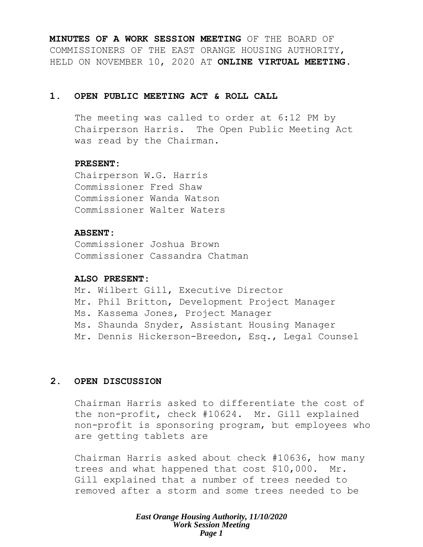**MINUTES OF A WORK SESSION MEETING** OF THE BOARD OF COMMISSIONERS OF THE EAST ORANGE HOUSING AUTHORITY, HELD ON NOVEMBER 10, 2020 AT **ONLINE VIRTUAL MEETING**.

### **1. OPEN PUBLIC MEETING ACT & ROLL CALL**

The meeting was called to order at 6:12 PM by Chairperson Harris. The Open Public Meeting Act was read by the Chairman.

### **PRESENT:**

Chairperson W.G. Harris Commissioner Fred Shaw Commissioner Wanda Watson Commissioner Walter Waters

### **ABSENT:**

Commissioner Joshua Brown Commissioner Cassandra Chatman

### **ALSO PRESENT:**

Mr. Wilbert Gill, Executive Director Mr. Phil Britton, Development Project Manager Ms. Kassema Jones, Project Manager Ms. Shaunda Snyder, Assistant Housing Manager Mr. Dennis Hickerson-Breedon, Esq., Legal Counsel

# **2. OPEN DISCUSSION**

Chairman Harris asked to differentiate the cost of the non-profit, check #10624. Mr. Gill explained non-profit is sponsoring program, but employees who are getting tablets are

Chairman Harris asked about check #10636, how many trees and what happened that cost \$10,000. Mr. Gill explained that a number of trees needed to removed after a storm and some trees needed to be

> *East Orange Housing Authority, 11/10/2020 Work Session Meeting Page 1*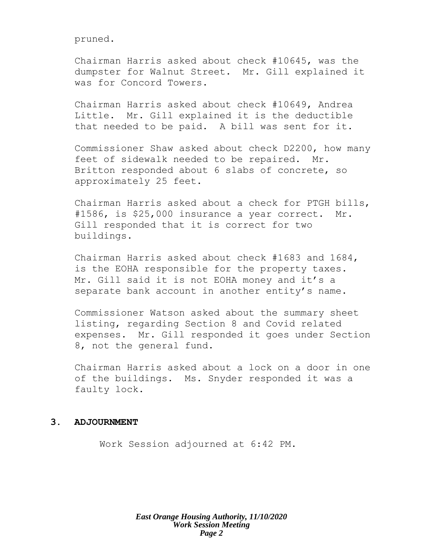pruned.

Chairman Harris asked about check #10645, was the dumpster for Walnut Street. Mr. Gill explained it was for Concord Towers.

Chairman Harris asked about check #10649, Andrea Little. Mr. Gill explained it is the deductible that needed to be paid. A bill was sent for it.

Commissioner Shaw asked about check D2200, how many feet of sidewalk needed to be repaired. Mr. Britton responded about 6 slabs of concrete, so approximately 25 feet.

Chairman Harris asked about a check for PTGH bills, #1586, is \$25,000 insurance a year correct. Mr. Gill responded that it is correct for two buildings.

Chairman Harris asked about check #1683 and 1684, is the EOHA responsible for the property taxes. Mr. Gill said it is not EOHA money and it's a separate bank account in another entity's name.

Commissioner Watson asked about the summary sheet listing, regarding Section 8 and Covid related expenses. Mr. Gill responded it goes under Section 8, not the general fund.

Chairman Harris asked about a lock on a door in one of the buildings. Ms. Snyder responded it was a faulty lock.

#### **3. ADJOURNMENT**

Work Session adjourned at 6:42 PM.

*East Orange Housing Authority, 11/10/2020 Work Session Meeting Page 2*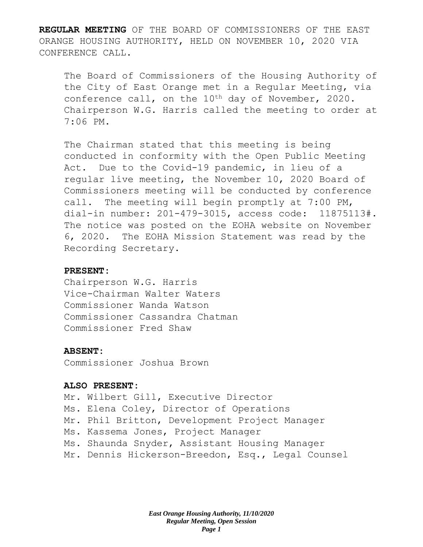**REGULAR MEETING** OF THE BOARD OF COMMISSIONERS OF THE EAST ORANGE HOUSING AUTHORITY, HELD ON NOVEMBER 10, 2020 VIA CONFERENCE CALL.

The Board of Commissioners of the Housing Authority of the City of East Orange met in a Regular Meeting, via conference call, on the  $10^{th}$  day of November, 2020. Chairperson W.G. Harris called the meeting to order at 7:06 PM.

The Chairman stated that this meeting is being conducted in conformity with the Open Public Meeting Act. Due to the Covid-19 pandemic, in lieu of a regular live meeting, the November 10, 2020 Board of Commissioners meeting will be conducted by conference call. The meeting will begin promptly at 7:00 PM, dial-in number: 201-479-3015, access code: 11875113#. The notice was posted on the EOHA website on November 6, 2020. The EOHA Mission Statement was read by the Recording Secretary.

### **PRESENT:**

Chairperson W.G. Harris Vice-Chairman Walter Waters Commissioner Wanda Watson Commissioner Cassandra Chatman Commissioner Fred Shaw

# **ABSENT:**

Commissioner Joshua Brown

#### **ALSO PRESENT:**

Mr. Wilbert Gill, Executive Director Ms. Elena Coley, Director of Operations Mr. Phil Britton, Development Project Manager Ms. Kassema Jones, Project Manager Ms. Shaunda Snyder, Assistant Housing Manager Mr. Dennis Hickerson-Breedon, Esq., Legal Counsel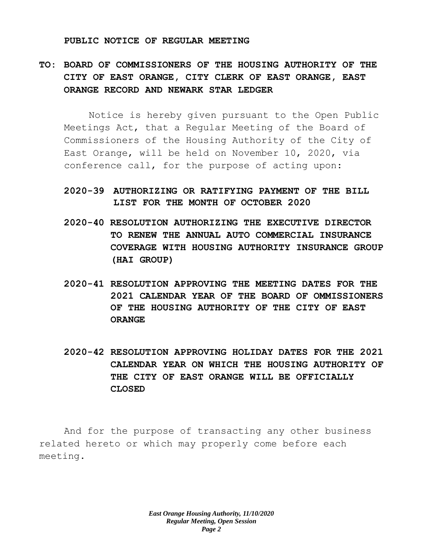#### **PUBLIC NOTICE OF REGULAR MEETING**

# **TO: BOARD OF COMMISSIONERS OF THE HOUSING AUTHORITY OF THE CITY OF EAST ORANGE, CITY CLERK OF EAST ORANGE, EAST ORANGE RECORD AND NEWARK STAR LEDGER**

Notice is hereby given pursuant to the Open Public Meetings Act, that a Regular Meeting of the Board of Commissioners of the Housing Authority of the City of East Orange, will be held on November 10, 2020, via conference call, for the purpose of acting upon:

# **2020-39 AUTHORIZING OR RATIFYING PAYMENT OF THE BILL LIST FOR THE MONTH OF OCTOBER 2020**

- **2020-40 RESOLUTION AUTHORIZING THE EXECUTIVE DIRECTOR TO RENEW THE ANNUAL AUTO COMMERCIAL INSURANCE COVERAGE WITH HOUSING AUTHORITY INSURANCE GROUP (HAI GROUP)**
- **2020-41 RESOLUTION APPROVING THE MEETING DATES FOR THE 2021 CALENDAR YEAR OF THE BOARD OF OMMISSIONERS OF THE HOUSING AUTHORITY OF THE CITY OF EAST ORANGE**
- **2020-42 RESOLUTION APPROVING HOLIDAY DATES FOR THE 2021 CALENDAR YEAR ON WHICH THE HOUSING AUTHORITY OF THE CITY OF EAST ORANGE WILL BE OFFICIALLY CLOSED**

And for the purpose of transacting any other business related hereto or which may properly come before each meeting.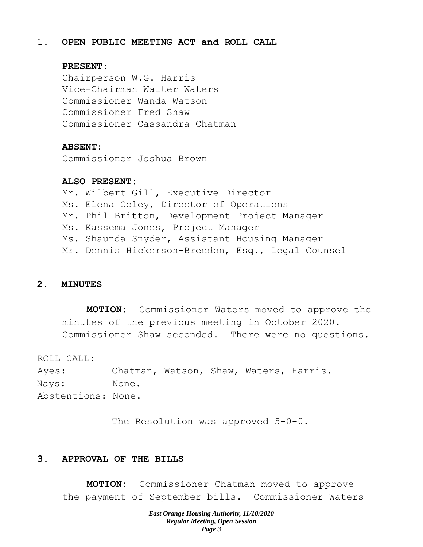#### 1. **OPEN PUBLIC MEETING ACT and ROLL CALL**

#### **PRESENT:**

Chairperson W.G. Harris Vice-Chairman Walter Waters Commissioner Wanda Watson Commissioner Fred Shaw Commissioner Cassandra Chatman

#### **ABSENT:**

Commissioner Joshua Brown

#### **ALSO PRESENT:**

Mr. Wilbert Gill, Executive Director Ms. Elena Coley, Director of Operations Mr. Phil Britton, Development Project Manager Ms. Kassema Jones, Project Manager Ms. Shaunda Snyder, Assistant Housing Manager Mr. Dennis Hickerson-Breedon, Esq., Legal Counsel

# **2. MINUTES**

**MOTION:** Commissioner Waters moved to approve the minutes of the previous meeting in October 2020. Commissioner Shaw seconded. There were no questions.

ROLL CALL:

Ayes: Chatman, Watson, Shaw, Waters, Harris. Nays: None. Abstentions: None.

The Resolution was approved 5-0-0.

#### **3. APPROVAL OF THE BILLS**

**MOTION:** Commissioner Chatman moved to approve the payment of September bills. Commissioner Waters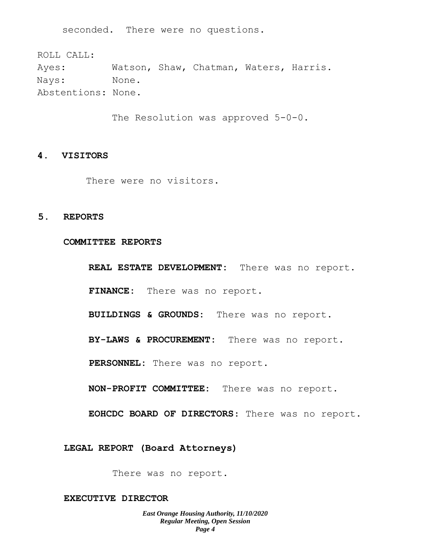seconded. There were no questions.

ROLL CALL: Ayes: Watson, Shaw, Chatman, Waters, Harris. Nays: None. Abstentions: None.

The Resolution was approved 5-0-0.

#### **4. VISITORS**

There were no visitors.

#### **5. REPORTS**

#### **COMMITTEE REPORTS**

**REAL ESTATE DEVELOPMENT:** There was no report. **FINANCE:** There was no report.

**BUILDINGS & GROUNDS:** There was no report.

**BY-LAWS & PROCUREMENT:** There was no report.

**PERSONNEL:** There was no report.

**NON-PROFIT COMMITTEE:** There was no report.

**EOHCDC BOARD OF DIRECTORS**: There was no report.

**LEGAL REPORT (Board Attorneys)**

There was no report.

#### **EXECUTIVE DIRECTOR**

*East Orange Housing Authority, 11/10/2020 Regular Meeting, Open Session Page 4*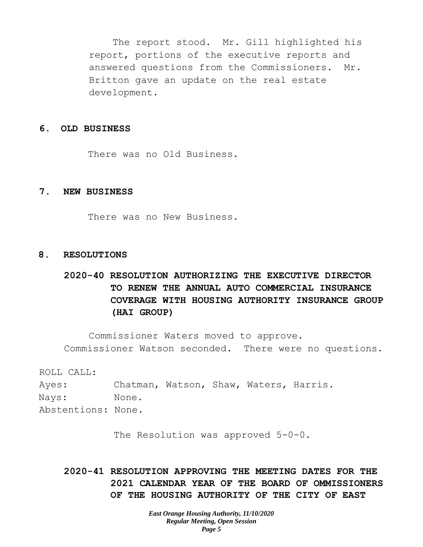The report stood. Mr. Gill highlighted his report, portions of the executive reports and answered questions from the Commissioners. Mr. Britton gave an update on the real estate development.

#### **6. OLD BUSINESS**

There was no Old Business.

#### **7. NEW BUSINESS**

There was no New Business.

#### **8. RESOLUTIONS**

# **2020-40 RESOLUTION AUTHORIZING THE EXECUTIVE DIRECTOR TO RENEW THE ANNUAL AUTO COMMERCIAL INSURANCE COVERAGE WITH HOUSING AUTHORITY INSURANCE GROUP (HAI GROUP)**

Commissioner Waters moved to approve. Commissioner Watson seconded. There were no questions.

ROLL CALL:

Ayes: Chatman, Watson, Shaw, Waters, Harris. Nays: None. Abstentions: None.

The Resolution was approved 5-0-0.

**2020-41 RESOLUTION APPROVING THE MEETING DATES FOR THE 2021 CALENDAR YEAR OF THE BOARD OF OMMISSIONERS OF THE HOUSING AUTHORITY OF THE CITY OF EAST**